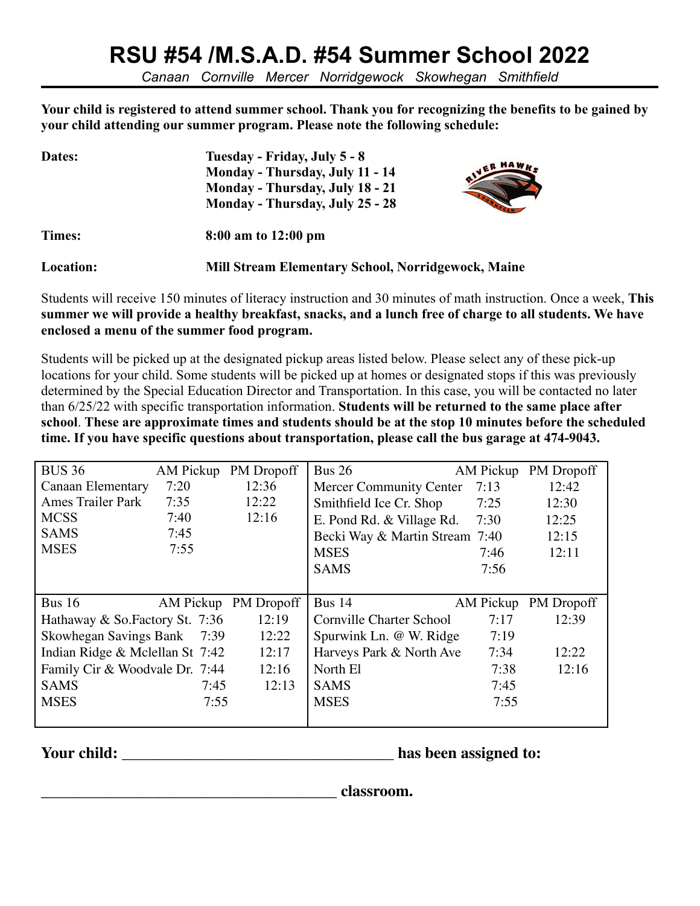## **RSU #54 /M.S.A.D. #54 Summer School 2022**

*Canaan Cornville Mercer Norridgewock Skowhegan Smithfield*

**Your child is registered to attend summer school. Thank you for recognizing the benefits to be gained by your child attending our summer program. Please note the following schedule:**

| Dates:    | Tuesday - Friday, July 5 - 8                              |         |  |  |
|-----------|-----------------------------------------------------------|---------|--|--|
|           | Monday - Thursday, July 11 - 14                           | VER HAW |  |  |
|           | Monday - Thursday, July 18 - 21                           |         |  |  |
|           | Monday - Thursday, July 25 - 28                           |         |  |  |
| Times:    | 8:00 am to 12:00 pm                                       |         |  |  |
| Location: | <b>Mill Stream Elementary School, Norridgewock, Maine</b> |         |  |  |

Students will receive 150 minutes of literacy instruction and 30 minutes of math instruction. Once a week, **This summer we will provide a healthy breakfast, snacks, and a lunch free of charge to all students. We have enclosed a menu of the summer food program.**

Students will be picked up at the designated pickup areas listed below. Please select any of these pick-up locations for your child. Some students will be picked up at homes or designated stops if this was previously determined by the Special Education Director and Transportation. In this case, you will be contacted no later than 6/25/22 with specific transportation information. **Students will be returned to the same place after school**. **These are approximate times and students should be at the stop 10 minutes before the scheduled time. If you have specific questions about transportation, please call the bus garage at 474-9043.**

| <b>BUS 36</b>                   | AM Pickup | PM Dropoff           | Bus $26$                        | AM Pickup | PM Dropoff |
|---------------------------------|-----------|----------------------|---------------------------------|-----------|------------|
| Canaan Elementary               | 7:20      | 12:36                | Mercer Community Center         | 7:13      | 12:42      |
| <b>Ames Trailer Park</b>        | 7:35      | 12:22                | Smithfield Ice Cr. Shop         | 7:25      | 12:30      |
| <b>MCSS</b>                     | 7:40      | 12:16                | E. Pond Rd. & Village Rd.       | 7:30      | 12:25      |
| <b>SAMS</b>                     | 7:45      |                      | Becki Way & Martin Stream 7:40  |           | 12:15      |
| <b>MSES</b>                     | 7:55      |                      | <b>MSES</b>                     | 7:46      | 12:11      |
|                                 |           |                      | <b>SAMS</b>                     | 7:56      |            |
|                                 |           |                      |                                 |           |            |
|                                 |           |                      |                                 |           |            |
| <b>Bus 16</b>                   |           | AM Pickup PM Dropoff | Bus $14$                        | AM Pickup | PM Dropoff |
| Hathaway & So. Factory St. 7:36 |           | 12:19                | <b>Cornville Charter School</b> | 7:17      | 12:39      |
| Skowhegan Savings Bank 7:39     |           | 12:22                | Spurwink Ln. @ W. Ridge         | 7:19      |            |
| Indian Ridge & Mclellan St 7:42 |           | 12:17                | Harveys Park & North Ave        | 7:34      | 12:22      |
| Family Cir & Woodvale Dr. 7:44  |           | 12:16                | North El                        | 7:38      | 12:16      |
| <b>SAMS</b>                     | 7:45      | 12:13                | <b>SAMS</b>                     | 7:45      |            |
| <b>MSES</b>                     | 7:55      |                      | <b>MSES</b>                     | 7:55      |            |

**Your child: \_\_\_\_\_\_\_\_\_\_\_\_\_\_\_\_\_\_\_\_\_\_\_\_\_\_\_\_\_\_\_\_\_\_ has been assigned to:**

**\_\_\_\_\_\_\_\_\_\_\_\_\_\_\_\_\_\_\_\_\_\_\_\_\_\_\_\_\_\_\_\_\_\_\_\_\_ classroom.**